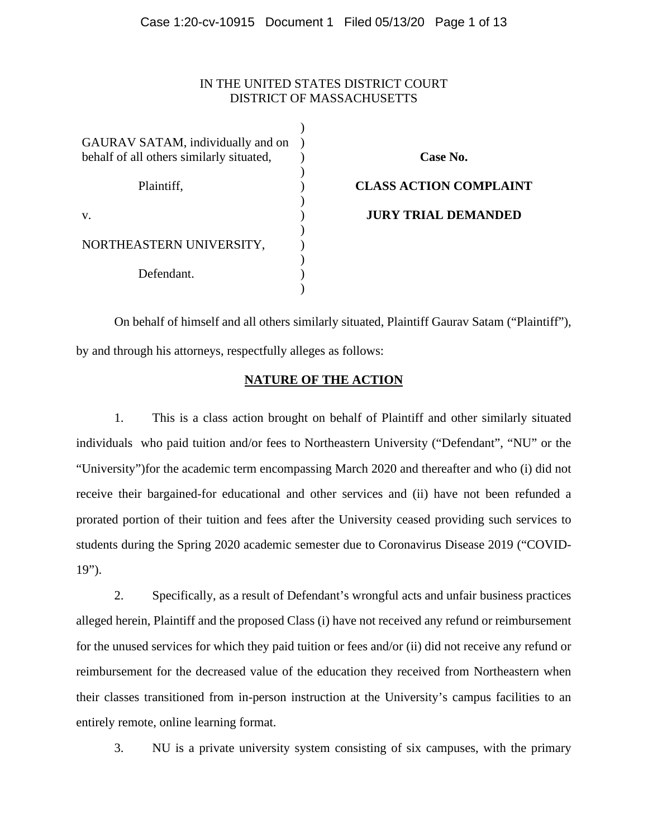#### Case 1:20-cv-10915 Document 1 Filed 05/13/20 Page 1 of 13

# IN THE UNITED STATES DISTRICT COURT DISTRICT OF MASSACHUSETTS

GAURAV SATAM, individually and on behalf of all others similarly situated, Plaintiff, v. NORTHEASTERN UNIVERSITY, Defendant. )  $\lambda$ ) ) ) ) ) ) ) ) ) )

**Case No.** 

**CLASS ACTION COMPLAINT**

**JURY TRIAL DEMANDED**

On behalf of himself and all others similarly situated, Plaintiff Gaurav Satam ("Plaintiff"), by and through his attorneys, respectfully alleges as follows:

# **NATURE OF THE ACTION**

1. This is a class action brought on behalf of Plaintiff and other similarly situated individuals who paid tuition and/or fees to Northeastern University ("Defendant", "NU" or the "University")for the academic term encompassing March 2020 and thereafter and who (i) did not receive their bargained-for educational and other services and (ii) have not been refunded a prorated portion of their tuition and fees after the University ceased providing such services to students during the Spring 2020 academic semester due to Coronavirus Disease 2019 ("COVID-19").

2. Specifically, as a result of Defendant's wrongful acts and unfair business practices alleged herein, Plaintiff and the proposed Class (i) have not received any refund or reimbursement for the unused services for which they paid tuition or fees and/or (ii) did not receive any refund or reimbursement for the decreased value of the education they received from Northeastern when their classes transitioned from in-person instruction at the University's campus facilities to an entirely remote, online learning format.

3. NU is a private university system consisting of six campuses, with the primary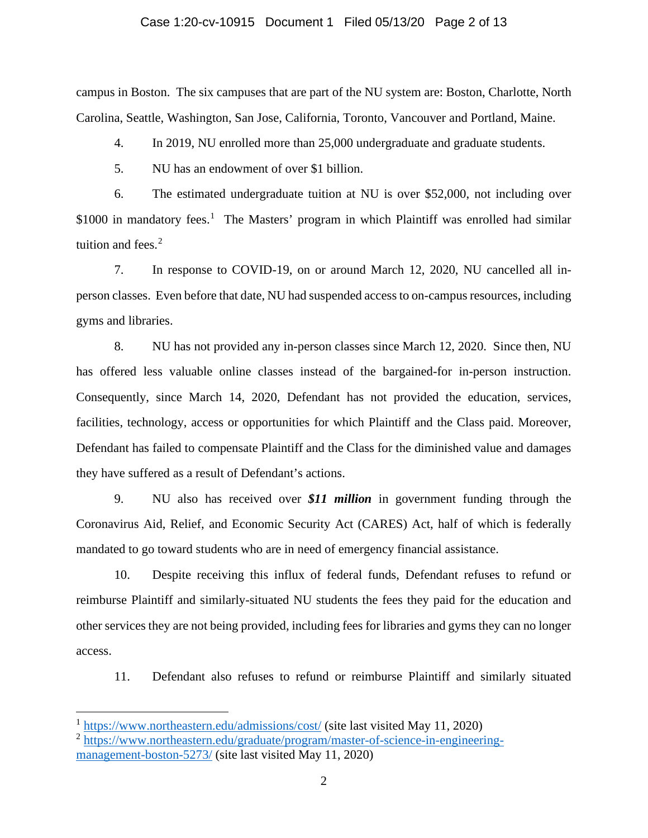#### Case 1:20-cv-10915 Document 1 Filed 05/13/20 Page 2 of 13

campus in Boston. The six campuses that are part of the NU system are: Boston, Charlotte, North Carolina, Seattle, Washington, San Jose, California, Toronto, Vancouver and Portland, Maine.

4. In 2019, NU enrolled more than 25,000 undergraduate and graduate students.

5. NU has an endowment of over \$1 billion.

6. The estimated undergraduate tuition at NU is over \$52,000, not including over \$[1](#page-1-0)000 in mandatory fees.<sup>1</sup> The Masters' program in which Plaintiff was enrolled had similar tuition and fees. [2](#page-1-1)

7. In response to COVID-19, on or around March 12, 2020, NU cancelled all inperson classes. Even before that date, NU had suspended access to on-campus resources, including gyms and libraries.

8. NU has not provided any in-person classes since March 12, 2020. Since then, NU has offered less valuable online classes instead of the bargained-for in-person instruction. Consequently, since March 14, 2020, Defendant has not provided the education, services, facilities, technology, access or opportunities for which Plaintiff and the Class paid. Moreover, Defendant has failed to compensate Plaintiff and the Class for the diminished value and damages they have suffered as a result of Defendant's actions.

9. NU also has received over *\$11 million* in government funding through the Coronavirus Aid, Relief, and Economic Security Act (CARES) Act, half of which is federally mandated to go toward students who are in need of emergency financial assistance.

10. Despite receiving this influx of federal funds, Defendant refuses to refund or reimburse Plaintiff and similarly-situated NU students the fees they paid for the education and other services they are not being provided, including fees for libraries and gyms they can no longer access.

11. Defendant also refuses to refund or reimburse Plaintiff and similarly situated

<span id="page-1-0"></span><sup>1</sup> <https://www.northeastern.edu/admissions/cost/> (site last visited May 11, 2020)

<span id="page-1-1"></span><sup>2</sup> [https://www.northeastern.edu/graduate/program/master-of-science-in-engineering](https://www.northeastern.edu/graduate/program/master-of-science-in-engineering-management-boston-5273/)[management-boston-5273/](https://www.northeastern.edu/graduate/program/master-of-science-in-engineering-management-boston-5273/) (site last visited May 11, 2020)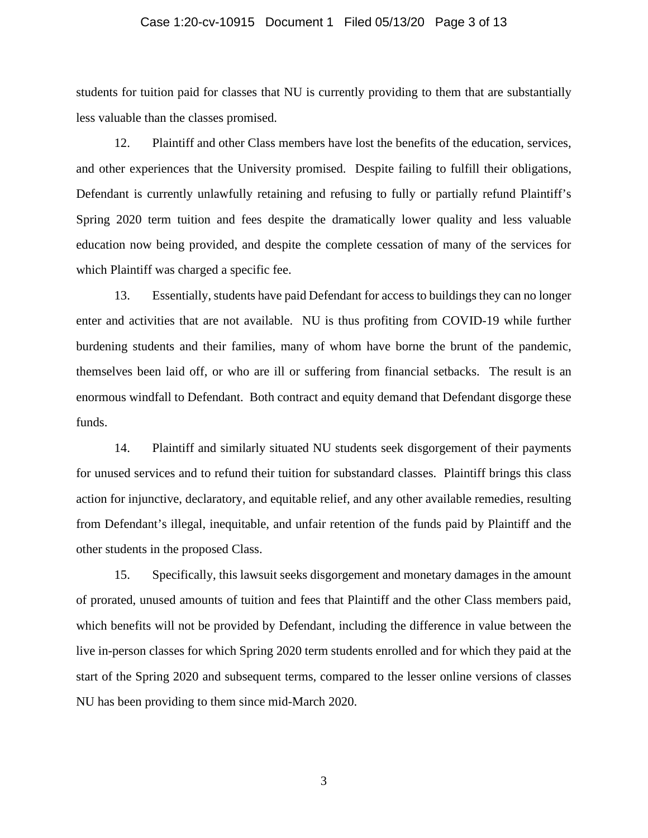#### Case 1:20-cv-10915 Document 1 Filed 05/13/20 Page 3 of 13

students for tuition paid for classes that NU is currently providing to them that are substantially less valuable than the classes promised.

12. Plaintiff and other Class members have lost the benefits of the education, services, and other experiences that the University promised. Despite failing to fulfill their obligations, Defendant is currently unlawfully retaining and refusing to fully or partially refund Plaintiff's Spring 2020 term tuition and fees despite the dramatically lower quality and less valuable education now being provided, and despite the complete cessation of many of the services for which Plaintiff was charged a specific fee.

13. Essentially, students have paid Defendant for access to buildings they can no longer enter and activities that are not available. NU is thus profiting from COVID-19 while further burdening students and their families, many of whom have borne the brunt of the pandemic, themselves been laid off, or who are ill or suffering from financial setbacks. The result is an enormous windfall to Defendant. Both contract and equity demand that Defendant disgorge these funds.

14. Plaintiff and similarly situated NU students seek disgorgement of their payments for unused services and to refund their tuition for substandard classes. Plaintiff brings this class action for injunctive, declaratory, and equitable relief, and any other available remedies, resulting from Defendant's illegal, inequitable, and unfair retention of the funds paid by Plaintiff and the other students in the proposed Class.

15. Specifically, this lawsuit seeks disgorgement and monetary damages in the amount of prorated, unused amounts of tuition and fees that Plaintiff and the other Class members paid, which benefits will not be provided by Defendant, including the difference in value between the live in-person classes for which Spring 2020 term students enrolled and for which they paid at the start of the Spring 2020 and subsequent terms, compared to the lesser online versions of classes NU has been providing to them since mid-March 2020.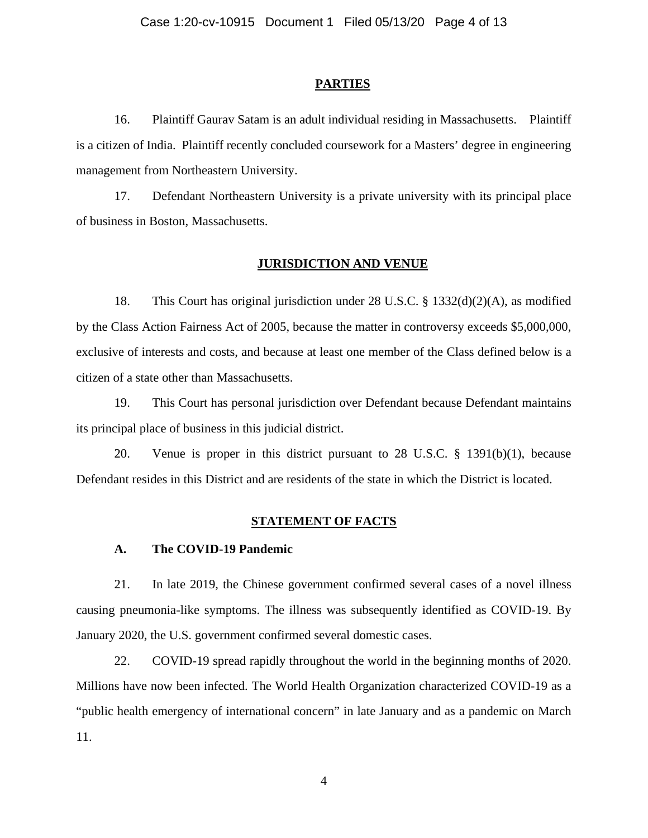#### **PARTIES**

16. Plaintiff Gaurav Satam is an adult individual residing in Massachusetts. Plaintiff is a citizen of India. Plaintiff recently concluded coursework for a Masters' degree in engineering management from Northeastern University.

17. Defendant Northeastern University is a private university with its principal place of business in Boston, Massachusetts.

#### **JURISDICTION AND VENUE**

18. This Court has original jurisdiction under 28 U.S.C. § 1332(d)(2)(A), as modified by the Class Action Fairness Act of 2005, because the matter in controversy exceeds \$5,000,000, exclusive of interests and costs, and because at least one member of the Class defined below is a citizen of a state other than Massachusetts.

19. This Court has personal jurisdiction over Defendant because Defendant maintains its principal place of business in this judicial district.

20. Venue is proper in this district pursuant to 28 U.S.C. § 1391(b)(1), because Defendant resides in this District and are residents of the state in which the District is located.

#### **STATEMENT OF FACTS**

#### **A. The COVID-19 Pandemic**

21. In late 2019, the Chinese government confirmed several cases of a novel illness causing pneumonia-like symptoms. The illness was subsequently identified as COVID-19. By January 2020, the U.S. government confirmed several domestic cases.

22. COVID-19 spread rapidly throughout the world in the beginning months of 2020. Millions have now been infected. The World Health Organization characterized COVID-19 as a "public health emergency of international concern" in late January and as a pandemic on March 11.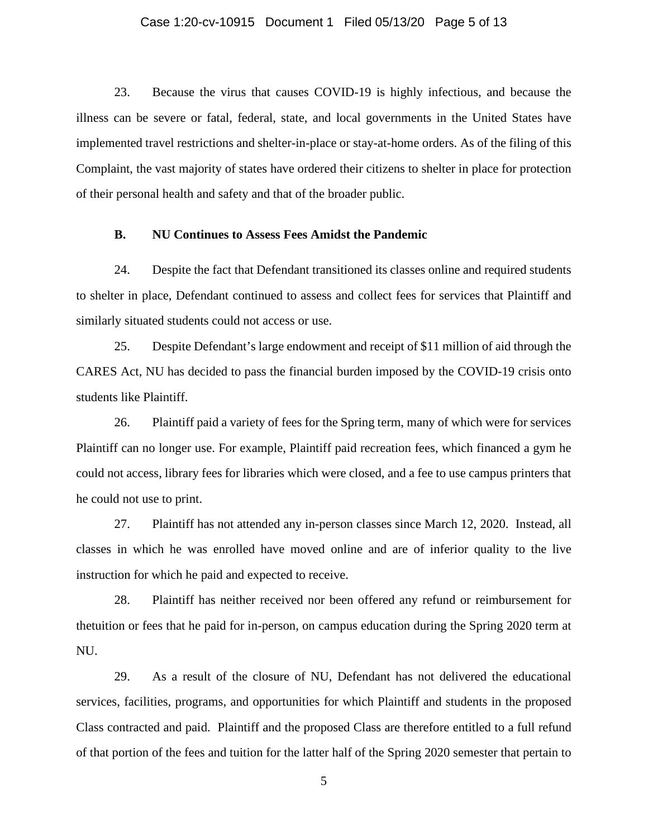#### Case 1:20-cv-10915 Document 1 Filed 05/13/20 Page 5 of 13

23. Because the virus that causes COVID-19 is highly infectious, and because the illness can be severe or fatal, federal, state, and local governments in the United States have implemented travel restrictions and shelter-in-place or stay-at-home orders. As of the filing of this Complaint, the vast majority of states have ordered their citizens to shelter in place for protection of their personal health and safety and that of the broader public.

# **B. NU Continues to Assess Fees Amidst the Pandemic**

24. Despite the fact that Defendant transitioned its classes online and required students to shelter in place, Defendant continued to assess and collect fees for services that Plaintiff and similarly situated students could not access or use.

25. Despite Defendant's large endowment and receipt of \$11 million of aid through the CARES Act, NU has decided to pass the financial burden imposed by the COVID-19 crisis onto students like Plaintiff.

26. Plaintiff paid a variety of fees for the Spring term, many of which were for services Plaintiff can no longer use. For example, Plaintiff paid recreation fees, which financed a gym he could not access, library fees for libraries which were closed, and a fee to use campus printers that he could not use to print.

27. Plaintiff has not attended any in-person classes since March 12, 2020. Instead, all classes in which he was enrolled have moved online and are of inferior quality to the live instruction for which he paid and expected to receive.

28. Plaintiff has neither received nor been offered any refund or reimbursement for thetuition or fees that he paid for in-person, on campus education during the Spring 2020 term at NU.

29. As a result of the closure of NU, Defendant has not delivered the educational services, facilities, programs, and opportunities for which Plaintiff and students in the proposed Class contracted and paid. Plaintiff and the proposed Class are therefore entitled to a full refund of that portion of the fees and tuition for the latter half of the Spring 2020 semester that pertain to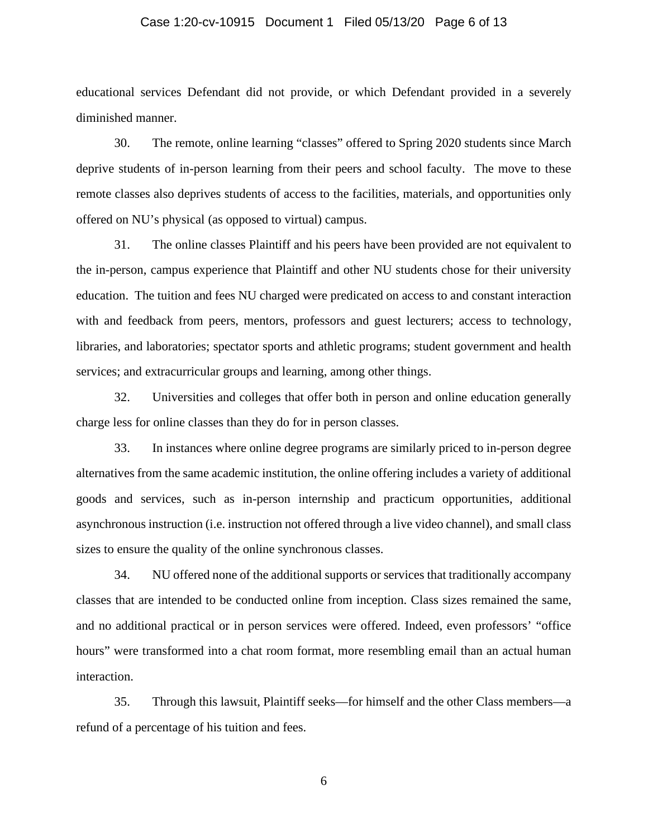#### Case 1:20-cv-10915 Document 1 Filed 05/13/20 Page 6 of 13

educational services Defendant did not provide, or which Defendant provided in a severely diminished manner.

30. The remote, online learning "classes" offered to Spring 2020 students since March deprive students of in-person learning from their peers and school faculty. The move to these remote classes also deprives students of access to the facilities, materials, and opportunities only offered on NU's physical (as opposed to virtual) campus.

31. The online classes Plaintiff and his peers have been provided are not equivalent to the in-person, campus experience that Plaintiff and other NU students chose for their university education. The tuition and fees NU charged were predicated on access to and constant interaction with and feedback from peers, mentors, professors and guest lecturers; access to technology, libraries, and laboratories; spectator sports and athletic programs; student government and health services; and extracurricular groups and learning, among other things.

32. Universities and colleges that offer both in person and online education generally charge less for online classes than they do for in person classes.

33. In instances where online degree programs are similarly priced to in-person degree alternatives from the same academic institution, the online offering includes a variety of additional goods and services, such as in-person internship and practicum opportunities, additional asynchronous instruction (i.e. instruction not offered through a live video channel), and small class sizes to ensure the quality of the online synchronous classes.

34. NU offered none of the additional supports or services that traditionally accompany classes that are intended to be conducted online from inception. Class sizes remained the same, and no additional practical or in person services were offered. Indeed, even professors' "office hours" were transformed into a chat room format, more resembling email than an actual human interaction.

35. Through this lawsuit, Plaintiff seeks—for himself and the other Class members—a refund of a percentage of his tuition and fees.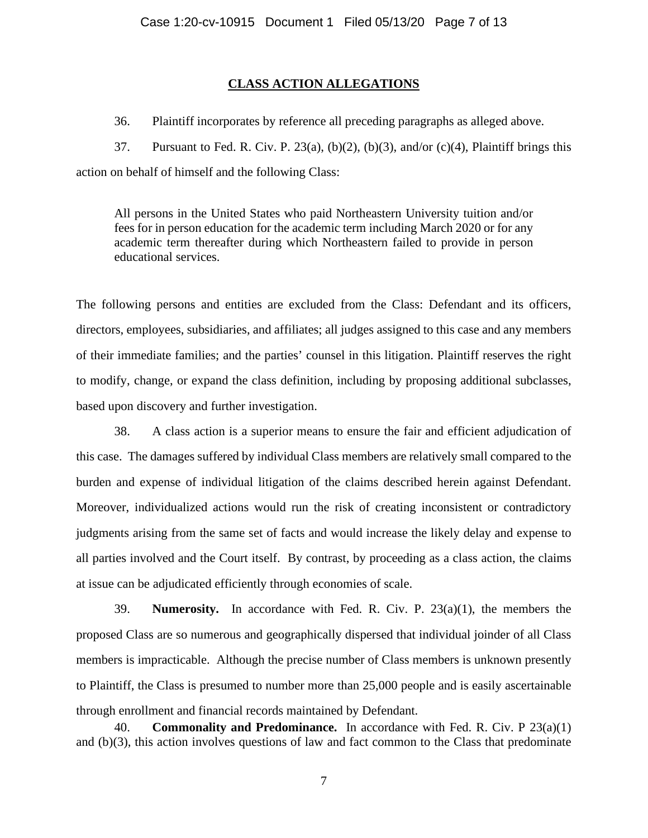### **CLASS ACTION ALLEGATIONS**

36. Plaintiff incorporates by reference all preceding paragraphs as alleged above.

37. Pursuant to Fed. R. Civ. P. 23(a), (b)(2), (b)(3), and/or (c)(4), Plaintiff brings this action on behalf of himself and the following Class:

All persons in the United States who paid Northeastern University tuition and/or fees for in person education for the academic term including March 2020 or for any academic term thereafter during which Northeastern failed to provide in person educational services.

The following persons and entities are excluded from the Class: Defendant and its officers, directors, employees, subsidiaries, and affiliates; all judges assigned to this case and any members of their immediate families; and the parties' counsel in this litigation. Plaintiff reserves the right to modify, change, or expand the class definition, including by proposing additional subclasses, based upon discovery and further investigation.

38. A class action is a superior means to ensure the fair and efficient adjudication of this case. The damages suffered by individual Class members are relatively small compared to the burden and expense of individual litigation of the claims described herein against Defendant. Moreover, individualized actions would run the risk of creating inconsistent or contradictory judgments arising from the same set of facts and would increase the likely delay and expense to all parties involved and the Court itself. By contrast, by proceeding as a class action, the claims at issue can be adjudicated efficiently through economies of scale.

39. **Numerosity.** In accordance with Fed. R. Civ. P. 23(a)(1), the members the proposed Class are so numerous and geographically dispersed that individual joinder of all Class members is impracticable. Although the precise number of Class members is unknown presently to Plaintiff, the Class is presumed to number more than 25,000 people and is easily ascertainable through enrollment and financial records maintained by Defendant.

40. **Commonality and Predominance.** In accordance with Fed. R. Civ. P 23(a)(1) and (b)(3), this action involves questions of law and fact common to the Class that predominate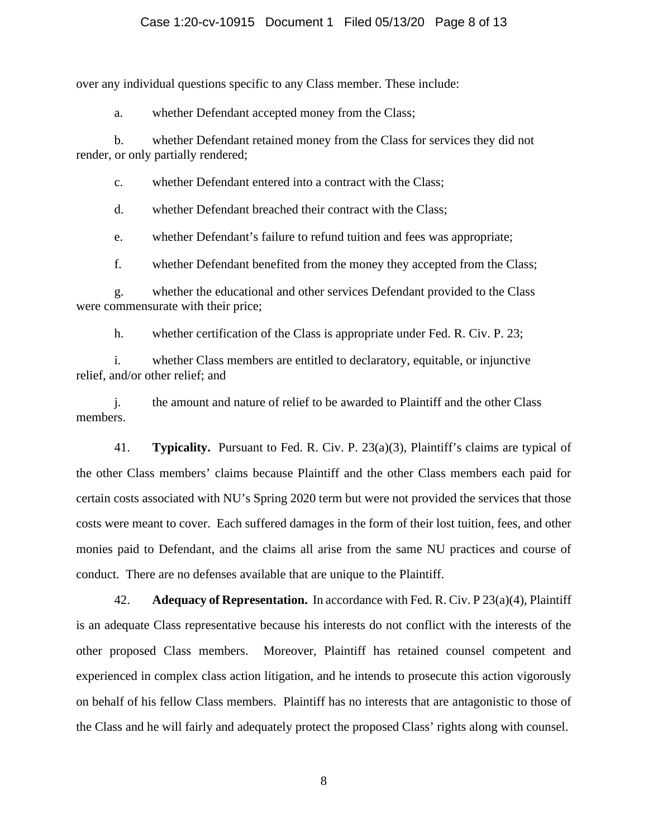### Case 1:20-cv-10915 Document 1 Filed 05/13/20 Page 8 of 13

over any individual questions specific to any Class member. These include:

a. whether Defendant accepted money from the Class;

b. whether Defendant retained money from the Class for services they did not render, or only partially rendered;

c. whether Defendant entered into a contract with the Class;

d. whether Defendant breached their contract with the Class;

e. whether Defendant's failure to refund tuition and fees was appropriate;

f. whether Defendant benefited from the money they accepted from the Class;

g. whether the educational and other services Defendant provided to the Class were commensurate with their price;

h. whether certification of the Class is appropriate under Fed. R. Civ. P. 23;

i. whether Class members are entitled to declaratory, equitable, or injunctive relief, and/or other relief; and

j. the amount and nature of relief to be awarded to Plaintiff and the other Class members.

41. **Typicality.** Pursuant to Fed. R. Civ. P. 23(a)(3), Plaintiff's claims are typical of the other Class members' claims because Plaintiff and the other Class members each paid for certain costs associated with NU's Spring 2020 term but were not provided the services that those costs were meant to cover. Each suffered damages in the form of their lost tuition, fees, and other monies paid to Defendant, and the claims all arise from the same NU practices and course of conduct. There are no defenses available that are unique to the Plaintiff.

42. **Adequacy of Representation.** In accordance with Fed. R. Civ. P 23(a)(4), Plaintiff is an adequate Class representative because his interests do not conflict with the interests of the other proposed Class members. Moreover, Plaintiff has retained counsel competent and experienced in complex class action litigation, and he intends to prosecute this action vigorously on behalf of his fellow Class members. Plaintiff has no interests that are antagonistic to those of the Class and he will fairly and adequately protect the proposed Class' rights along with counsel.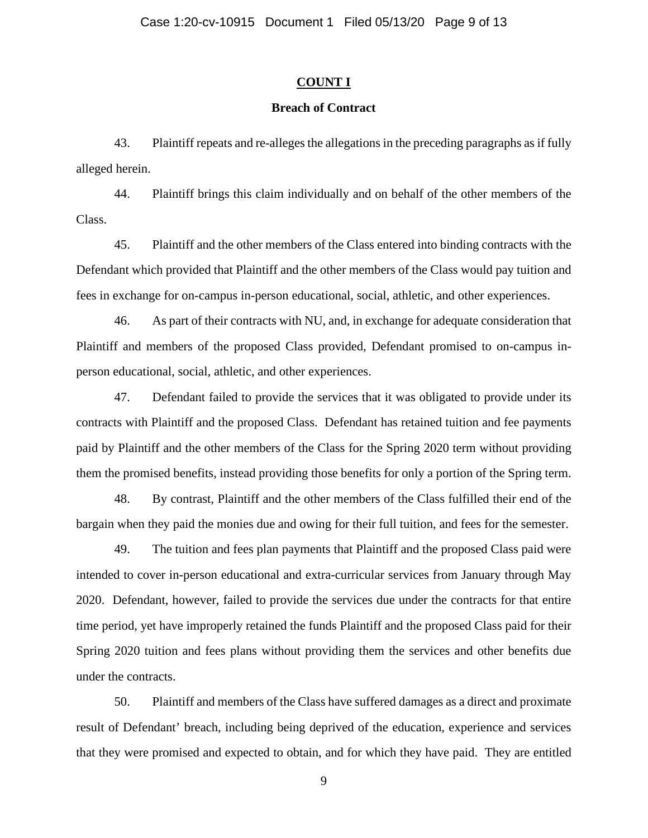#### **COUNT I**

#### **Breach of Contract**

43. Plaintiff repeats and re-alleges the allegations in the preceding paragraphs as if fully alleged herein.

44. Plaintiff brings this claim individually and on behalf of the other members of the Class.

45. Plaintiff and the other members of the Class entered into binding contracts with the Defendant which provided that Plaintiff and the other members of the Class would pay tuition and fees in exchange for on-campus in-person educational, social, athletic, and other experiences.

46. As part of their contracts with NU, and, in exchange for adequate consideration that Plaintiff and members of the proposed Class provided, Defendant promised to on-campus inperson educational, social, athletic, and other experiences.

47. Defendant failed to provide the services that it was obligated to provide under its contracts with Plaintiff and the proposed Class. Defendant has retained tuition and fee payments paid by Plaintiff and the other members of the Class for the Spring 2020 term without providing them the promised benefits, instead providing those benefits for only a portion of the Spring term.

48. By contrast, Plaintiff and the other members of the Class fulfilled their end of the bargain when they paid the monies due and owing for their full tuition, and fees for the semester.

49. The tuition and fees plan payments that Plaintiff and the proposed Class paid were intended to cover in-person educational and extra-curricular services from January through May 2020. Defendant, however, failed to provide the services due under the contracts for that entire time period, yet have improperly retained the funds Plaintiff and the proposed Class paid for their Spring 2020 tuition and fees plans without providing them the services and other benefits due under the contracts.

50. Plaintiff and members of the Class have suffered damages as a direct and proximate result of Defendant' breach, including being deprived of the education, experience and services that they were promised and expected to obtain, and for which they have paid. They are entitled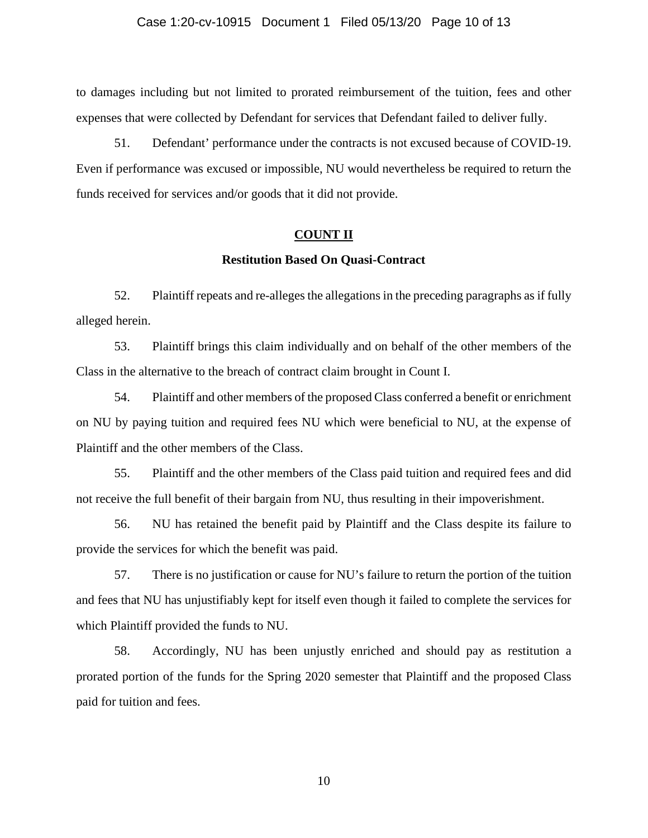to damages including but not limited to prorated reimbursement of the tuition, fees and other expenses that were collected by Defendant for services that Defendant failed to deliver fully.

51. Defendant' performance under the contracts is not excused because of COVID-19. Even if performance was excused or impossible, NU would nevertheless be required to return the funds received for services and/or goods that it did not provide.

#### **COUNT II**

#### **Restitution Based On Quasi-Contract**

52. Plaintiff repeats and re-alleges the allegations in the preceding paragraphs as if fully alleged herein.

53. Plaintiff brings this claim individually and on behalf of the other members of the Class in the alternative to the breach of contract claim brought in Count I.

54. Plaintiff and other members of the proposed Class conferred a benefit or enrichment on NU by paying tuition and required fees NU which were beneficial to NU, at the expense of Plaintiff and the other members of the Class.

55. Plaintiff and the other members of the Class paid tuition and required fees and did not receive the full benefit of their bargain from NU, thus resulting in their impoverishment.

56. NU has retained the benefit paid by Plaintiff and the Class despite its failure to provide the services for which the benefit was paid.

57. There is no justification or cause for NU's failure to return the portion of the tuition and fees that NU has unjustifiably kept for itself even though it failed to complete the services for which Plaintiff provided the funds to NU.

58. Accordingly, NU has been unjustly enriched and should pay as restitution a prorated portion of the funds for the Spring 2020 semester that Plaintiff and the proposed Class paid for tuition and fees.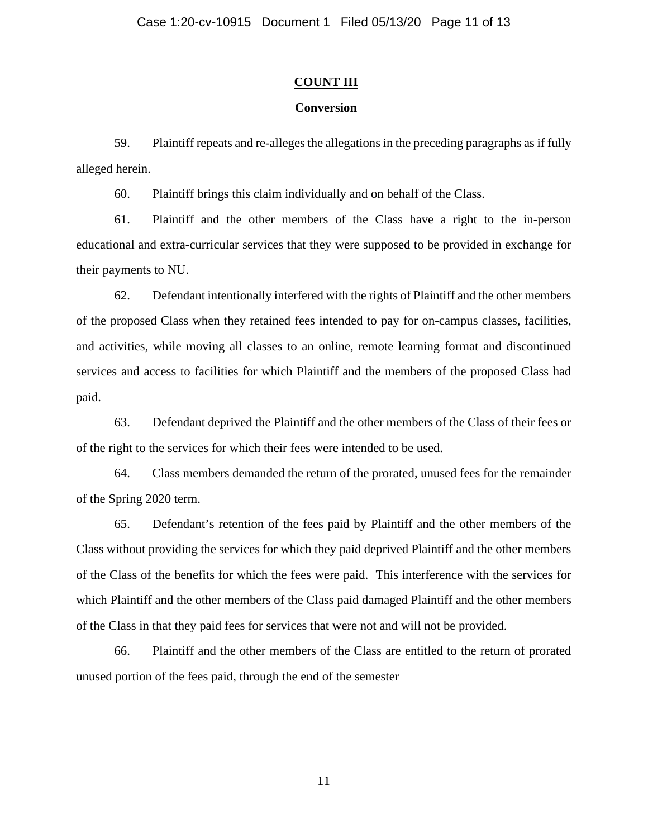### **COUNT III**

# **Conversion**

59. Plaintiff repeats and re-alleges the allegations in the preceding paragraphs as if fully alleged herein.

60. Plaintiff brings this claim individually and on behalf of the Class.

61. Plaintiff and the other members of the Class have a right to the in-person educational and extra-curricular services that they were supposed to be provided in exchange for their payments to NU.

62. Defendant intentionally interfered with the rights of Plaintiff and the other members of the proposed Class when they retained fees intended to pay for on-campus classes, facilities, and activities, while moving all classes to an online, remote learning format and discontinued services and access to facilities for which Plaintiff and the members of the proposed Class had paid.

63. Defendant deprived the Plaintiff and the other members of the Class of their fees or of the right to the services for which their fees were intended to be used.

64. Class members demanded the return of the prorated, unused fees for the remainder of the Spring 2020 term.

65. Defendant's retention of the fees paid by Plaintiff and the other members of the Class without providing the services for which they paid deprived Plaintiff and the other members of the Class of the benefits for which the fees were paid. This interference with the services for which Plaintiff and the other members of the Class paid damaged Plaintiff and the other members of the Class in that they paid fees for services that were not and will not be provided.

66. Plaintiff and the other members of the Class are entitled to the return of prorated unused portion of the fees paid, through the end of the semester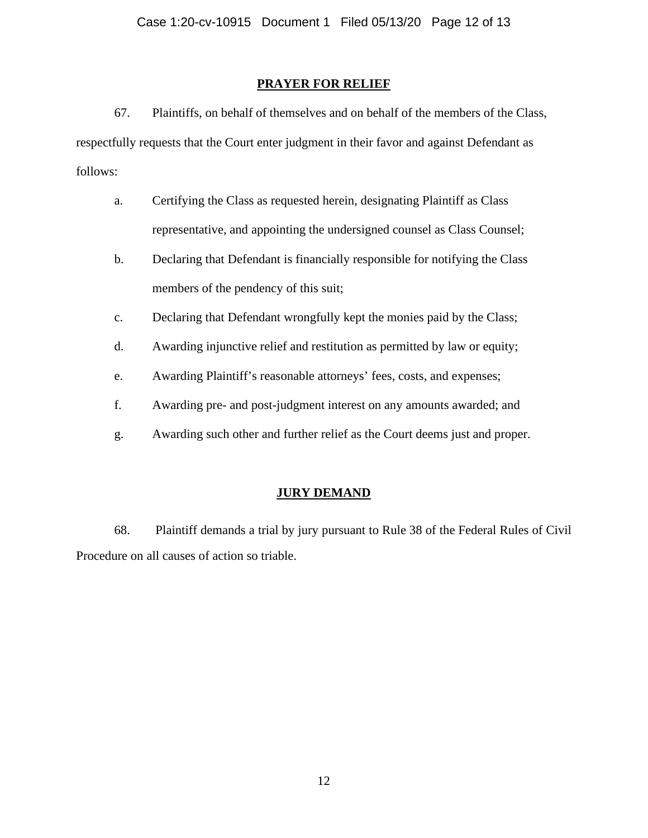# **PRAYER FOR RELIEF**

67. Plaintiffs, on behalf of themselves and on behalf of the members of the Class, respectfully requests that the Court enter judgment in their favor and against Defendant as follows:

- a. Certifying the Class as requested herein, designating Plaintiff as Class representative, and appointing the undersigned counsel as Class Counsel;
- b. Declaring that Defendant is financially responsible for notifying the Class members of the pendency of this suit;
- c. Declaring that Defendant wrongfully kept the monies paid by the Class;
- d. Awarding injunctive relief and restitution as permitted by law or equity;
- e. Awarding Plaintiff's reasonable attorneys' fees, costs, and expenses;
- f. Awarding pre- and post-judgment interest on any amounts awarded; and
- g. Awarding such other and further relief as the Court deems just and proper.

# **JURY DEMAND**

68. Plaintiff demands a trial by jury pursuant to Rule 38 of the Federal Rules of Civil Procedure on all causes of action so triable.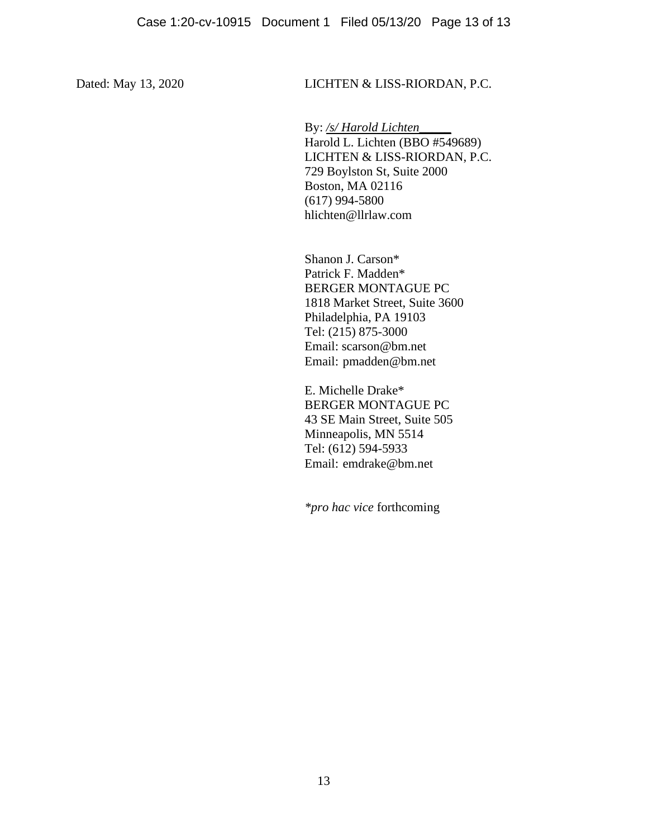Dated: May 13, 2020 LICHTEN & LISS-RIORDAN, P.C.

By: */s/ Harold Lichten\_\_\_\_\_* Harold L. Lichten (BBO #549689) LICHTEN & LISS-RIORDAN, P.C. 729 Boylston St, Suite 2000 Boston, MA 02116 (617) 994-5800 hlichten@llrlaw.com

Shanon J. Carson\* Patrick F. Madden\* BERGER MONTAGUE PC 1818 Market Street, Suite 3600 Philadelphia, PA 19103 Tel: (215) 875-3000 Email: scarson@bm.net Email: pmadden@bm.net

E. Michelle Drake\* BERGER MONTAGUE PC 43 SE Main Street, Suite 505 Minneapolis, MN 5514 Tel: (612) 594-5933 Email: emdrake@bm.net

*\*pro hac vice* forthcoming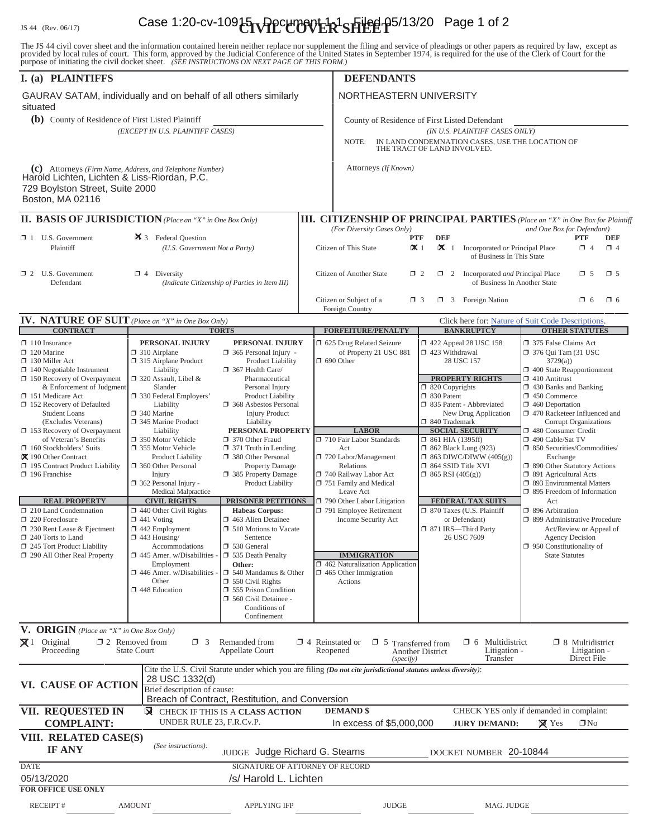# IS 44 (Rev. 06/17) **Case 1:20-cv-109<del>15</del> \\PpCtMOVER<sup>1</sup>SHEE**t P<sup>5/13/20</sup> Page 1 of 2

The JS 44 civil cover sheet and the information contained herein neither replace nor supplement the filing and service of pleadings or other papers as required by law, except as provided by local rules of court. This form,

| I. (a) PLAINTIFFS                                                                                                                                                                                                                                                                                                                                                                                                                                                                                                                                                                                                                                         |                                                                                                                                                                                                                                                                                                                                                                                                                                                                                                                                                                                                                                                              |                                                                                                                                                                                                                                                                                                                                                                                                                                                                                                                                                                                                                                                                 |                                                                                                 | <b>DEFENDANTS</b>                                                                                                                                                                                                                                                                                                                                                                                                          |                                                                                                                                                          |                                                                                                                                                                                                                                                                                                                                     |                                                                                                                                                                                                                                                                                                                                                                                                                                                                                                                                                                                                    |                                                                                   |                        |  |
|-----------------------------------------------------------------------------------------------------------------------------------------------------------------------------------------------------------------------------------------------------------------------------------------------------------------------------------------------------------------------------------------------------------------------------------------------------------------------------------------------------------------------------------------------------------------------------------------------------------------------------------------------------------|--------------------------------------------------------------------------------------------------------------------------------------------------------------------------------------------------------------------------------------------------------------------------------------------------------------------------------------------------------------------------------------------------------------------------------------------------------------------------------------------------------------------------------------------------------------------------------------------------------------------------------------------------------------|-----------------------------------------------------------------------------------------------------------------------------------------------------------------------------------------------------------------------------------------------------------------------------------------------------------------------------------------------------------------------------------------------------------------------------------------------------------------------------------------------------------------------------------------------------------------------------------------------------------------------------------------------------------------|-------------------------------------------------------------------------------------------------|----------------------------------------------------------------------------------------------------------------------------------------------------------------------------------------------------------------------------------------------------------------------------------------------------------------------------------------------------------------------------------------------------------------------------|----------------------------------------------------------------------------------------------------------------------------------------------------------|-------------------------------------------------------------------------------------------------------------------------------------------------------------------------------------------------------------------------------------------------------------------------------------------------------------------------------------|----------------------------------------------------------------------------------------------------------------------------------------------------------------------------------------------------------------------------------------------------------------------------------------------------------------------------------------------------------------------------------------------------------------------------------------------------------------------------------------------------------------------------------------------------------------------------------------------------|-----------------------------------------------------------------------------------|------------------------|--|
| GAURAV SATAM, individually and on behalf of all others similarly<br>situated                                                                                                                                                                                                                                                                                                                                                                                                                                                                                                                                                                              |                                                                                                                                                                                                                                                                                                                                                                                                                                                                                                                                                                                                                                                              |                                                                                                                                                                                                                                                                                                                                                                                                                                                                                                                                                                                                                                                                 |                                                                                                 | NORTHEASTERN UNIVERSITY                                                                                                                                                                                                                                                                                                                                                                                                    |                                                                                                                                                          |                                                                                                                                                                                                                                                                                                                                     |                                                                                                                                                                                                                                                                                                                                                                                                                                                                                                                                                                                                    |                                                                                   |                        |  |
| (b) County of Residence of First Listed Plaintiff                                                                                                                                                                                                                                                                                                                                                                                                                                                                                                                                                                                                         |                                                                                                                                                                                                                                                                                                                                                                                                                                                                                                                                                                                                                                                              |                                                                                                                                                                                                                                                                                                                                                                                                                                                                                                                                                                                                                                                                 |                                                                                                 | County of Residence of First Listed Defendant                                                                                                                                                                                                                                                                                                                                                                              |                                                                                                                                                          |                                                                                                                                                                                                                                                                                                                                     |                                                                                                                                                                                                                                                                                                                                                                                                                                                                                                                                                                                                    |                                                                                   |                        |  |
| (EXCEPT IN U.S. PLAINTIFF CASES)                                                                                                                                                                                                                                                                                                                                                                                                                                                                                                                                                                                                                          |                                                                                                                                                                                                                                                                                                                                                                                                                                                                                                                                                                                                                                                              |                                                                                                                                                                                                                                                                                                                                                                                                                                                                                                                                                                                                                                                                 |                                                                                                 | (IN U.S. PLAINTIFF CASES ONLY)<br>IN LAND CONDEMNATION CASES, USE THE LOCATION OF<br>NOTE:<br>THE TRACT OF LAND INVOLVED.                                                                                                                                                                                                                                                                                                  |                                                                                                                                                          |                                                                                                                                                                                                                                                                                                                                     |                                                                                                                                                                                                                                                                                                                                                                                                                                                                                                                                                                                                    |                                                                                   |                        |  |
| (c) Attorneys (Firm Name, Address, and Telephone Number)<br>Harold Lichten, Lichten & Liss-Riordan, P.C.<br>729 Boylston Street, Suite 2000<br>Boston, MA 02116                                                                                                                                                                                                                                                                                                                                                                                                                                                                                           |                                                                                                                                                                                                                                                                                                                                                                                                                                                                                                                                                                                                                                                              |                                                                                                                                                                                                                                                                                                                                                                                                                                                                                                                                                                                                                                                                 |                                                                                                 | Attorneys (If Known)                                                                                                                                                                                                                                                                                                                                                                                                       |                                                                                                                                                          |                                                                                                                                                                                                                                                                                                                                     |                                                                                                                                                                                                                                                                                                                                                                                                                                                                                                                                                                                                    |                                                                                   |                        |  |
| <b>II. BASIS OF JURISDICTION</b> (Place an "X" in One Box Only)                                                                                                                                                                                                                                                                                                                                                                                                                                                                                                                                                                                           |                                                                                                                                                                                                                                                                                                                                                                                                                                                                                                                                                                                                                                                              |                                                                                                                                                                                                                                                                                                                                                                                                                                                                                                                                                                                                                                                                 |                                                                                                 |                                                                                                                                                                                                                                                                                                                                                                                                                            |                                                                                                                                                          |                                                                                                                                                                                                                                                                                                                                     |                                                                                                                                                                                                                                                                                                                                                                                                                                                                                                                                                                                                    |                                                                                   |                        |  |
|                                                                                                                                                                                                                                                                                                                                                                                                                                                                                                                                                                                                                                                           |                                                                                                                                                                                                                                                                                                                                                                                                                                                                                                                                                                                                                                                              |                                                                                                                                                                                                                                                                                                                                                                                                                                                                                                                                                                                                                                                                 |                                                                                                 | <b>III. CITIZENSHIP OF PRINCIPAL PARTIES</b> (Place an "X" in One Box for Plaintiff<br>(For Diversity Cases Only)                                                                                                                                                                                                                                                                                                          |                                                                                                                                                          |                                                                                                                                                                                                                                                                                                                                     | and One Box for Defendant)                                                                                                                                                                                                                                                                                                                                                                                                                                                                                                                                                                         |                                                                                   |                        |  |
| $\Box$ 1 U.S. Government<br>Plaintiff                                                                                                                                                                                                                                                                                                                                                                                                                                                                                                                                                                                                                     | 区 3 Federal Question<br>(U.S. Government Not a Party)                                                                                                                                                                                                                                                                                                                                                                                                                                                                                                                                                                                                        |                                                                                                                                                                                                                                                                                                                                                                                                                                                                                                                                                                                                                                                                 |                                                                                                 | Citizen of This State                                                                                                                                                                                                                                                                                                                                                                                                      | <b>DEF</b><br><b>PTF</b><br>$\mathbf{\times}$ 1<br>$\mathbf{X}$ 1                                                                                        | Incorporated or Principal Place<br>of Business In This State                                                                                                                                                                                                                                                                        |                                                                                                                                                                                                                                                                                                                                                                                                                                                                                                                                                                                                    | <b>PTF</b><br>$\Box$ 4                                                            | <b>DEF</b><br>$\Box$ 4 |  |
| $\Box$ 2 U.S. Government<br>Defendant                                                                                                                                                                                                                                                                                                                                                                                                                                                                                                                                                                                                                     | $\Box$ 4 Diversity<br>(Indicate Citizenship of Parties in Item III)                                                                                                                                                                                                                                                                                                                                                                                                                                                                                                                                                                                          |                                                                                                                                                                                                                                                                                                                                                                                                                                                                                                                                                                                                                                                                 |                                                                                                 | Citizen of Another State                                                                                                                                                                                                                                                                                                                                                                                                   | 1 2 Incorporated and Principal Place<br>$\Box$ 2<br>of Business In Another State                                                                         |                                                                                                                                                                                                                                                                                                                                     |                                                                                                                                                                                                                                                                                                                                                                                                                                                                                                                                                                                                    | $\square$ 5                                                                       | $\square$ 5            |  |
|                                                                                                                                                                                                                                                                                                                                                                                                                                                                                                                                                                                                                                                           |                                                                                                                                                                                                                                                                                                                                                                                                                                                                                                                                                                                                                                                              |                                                                                                                                                                                                                                                                                                                                                                                                                                                                                                                                                                                                                                                                 | Citizen or Subject of a<br>$\Box$ 3 Foreign Nation<br>□ 6<br>$\Box$ 3<br>O 6<br>Foreign Country |                                                                                                                                                                                                                                                                                                                                                                                                                            |                                                                                                                                                          |                                                                                                                                                                                                                                                                                                                                     |                                                                                                                                                                                                                                                                                                                                                                                                                                                                                                                                                                                                    |                                                                                   |                        |  |
| <b>IV. NATURE OF SUIT</b> (Place an "X" in One Box Only)                                                                                                                                                                                                                                                                                                                                                                                                                                                                                                                                                                                                  |                                                                                                                                                                                                                                                                                                                                                                                                                                                                                                                                                                                                                                                              |                                                                                                                                                                                                                                                                                                                                                                                                                                                                                                                                                                                                                                                                 |                                                                                                 |                                                                                                                                                                                                                                                                                                                                                                                                                            |                                                                                                                                                          |                                                                                                                                                                                                                                                                                                                                     | Click here for: Nature of Suit Code Descriptions.                                                                                                                                                                                                                                                                                                                                                                                                                                                                                                                                                  |                                                                                   |                        |  |
| <b>CONTRACT</b>                                                                                                                                                                                                                                                                                                                                                                                                                                                                                                                                                                                                                                           |                                                                                                                                                                                                                                                                                                                                                                                                                                                                                                                                                                                                                                                              | <b>TORTS</b>                                                                                                                                                                                                                                                                                                                                                                                                                                                                                                                                                                                                                                                    |                                                                                                 | <b>FORFEITURE/PENALTY</b>                                                                                                                                                                                                                                                                                                                                                                                                  |                                                                                                                                                          | <b>BANKRUPTCY</b>                                                                                                                                                                                                                                                                                                                   |                                                                                                                                                                                                                                                                                                                                                                                                                                                                                                                                                                                                    | <b>OTHER STATUTES</b>                                                             |                        |  |
| $\Box$ 110 Insurance<br>$\Box$ 120 Marine<br>$\Box$ 130 Miller Act<br>$\Box$ 140 Negotiable Instrument<br>$\Box$ 150 Recovery of Overpayment<br>& Enforcement of Judgment<br>151 Medicare Act<br>152 Recovery of Defaulted<br><b>Student Loans</b><br>(Excludes Veterans)<br>$\Box$ 153 Recovery of Overpayment<br>of Veteran's Benefits<br>160 Stockholders' Suits<br>又 190 Other Contract<br>□ 195 Contract Product Liability<br>$\Box$ 196 Franchise<br><b>REAL PROPERTY</b><br>$\Box$ 210 Land Condemnation<br>220 Foreclosure<br>$\Box$ 230 Rent Lease & Ejectment<br>240 Torts to Land<br>245 Tort Product Liability<br>290 All Other Real Property | PERSONAL INJURY<br>$\Box$ 310 Airplane<br>□ 315 Airplane Product<br>Liability<br>$\Box$ 320 Assault, Libel &<br>Slander<br>□ 330 Federal Employers'<br>Liability<br>□ 340 Marine<br>345 Marine Product<br>Liability<br>□ 350 Motor Vehicle<br>□ 355 Motor Vehicle<br><b>Product Liability</b><br>360 Other Personal<br>Injury<br>$\Box$ 362 Personal Injury -<br><b>Medical Malpractice</b><br><b>CIVIL RIGHTS</b><br>$\Box$ 440 Other Civil Rights<br>$\Box$ 441 Voting<br>$\Box$ 442 Employment<br>$\Box$ 443 Housing/<br>Accommodations<br>$\Box$ 445 Amer. w/Disabilities -<br>Employment<br>$\Box$ 446 Amer. w/Disabilities<br>Other<br>□ 448 Education | PERSONAL INJURY<br>$\Box$ 365 Personal Injury -<br><b>Product Liability</b><br>367 Health Care/<br>Pharmaceutical<br>Personal Injury<br>Product Liability<br><b>1368</b> Asbestos Personal<br><b>Injury Product</b><br>Liability<br>PERSONAL PROPERTY<br>370 Other Fraud<br>$\Box$ 371 Truth in Lending<br>380 Other Personal<br>Property Damage<br>□ 385 Property Damage<br>Product Liability<br><b>PRISONER PETITIONS</b><br><b>Habeas Corpus:</b><br>$\Box$ 463 Alien Detainee<br>$\Box$ 510 Motions to Vacate<br>Sentence<br>□ 530 General<br>535 Death Penalty<br>Other:<br>$\Box$ 540 Mandamus & Other<br>$\Box$ 550 Civil Rights<br>555 Prison Condition |                                                                                                 | 5 625 Drug Related Seizure<br>of Property 21 USC 881<br>$\Box$ 690 Other<br><b>LABOR</b><br>710 Fair Labor Standards<br>Act<br>720 Labor/Management<br>Relations<br>740 Railway Labor Act<br>751 Family and Medical<br>Leave Act<br>790 Other Labor Litigation<br>791 Employee Retirement<br><b>Income Security Act</b><br><b>IMMIGRATION</b><br>462 Naturalization Application<br>$\Box$ 465 Other Immigration<br>Actions | 423 Withdrawal<br>$\Box$ 820 Copyrights<br>□ 830 Patent<br>□ 840 Trademark<br>$\Box$ 861 HIA (1395ff)<br>□ 864 SSID Title XVI<br>$\Box$ 865 RSI (405(g)) | 158 122 Appeal 28 USC 158<br>28 USC 157<br><b>PROPERTY RIGHTS</b><br>335 Patent - Abbreviated<br>New Drug Application<br><b>SOCIAL SECURITY</b><br>$\Box$ 862 Black Lung (923)<br>$\Box$ 863 DIWC/DIWW (405(g))<br><b>FEDERAL TAX SUITS</b><br>7 870 Taxes (U.S. Plaintiff<br>or Defendant)<br>□ 871 IRS-Third Party<br>26 USC 7609 | □ 375 False Claims Act<br>$\Box$ 376 Qui Tam (31 USC<br>3729(a)<br>1 400 State Reapportionment<br>$\Box$ 410 Antitrust<br>$\Box$ 430 Banks and Banking<br>$\Box$ 450 Commerce<br>$\Box$ 460 Deportation<br>1 470 Racketeer Influenced and<br>480 Consumer Credit<br>□ 490 Cable/Sat TV<br>□ 850 Securities/Commodities/<br>Exchange<br>1 890 Other Statutory Actions<br>□ 891 Agricultural Acts<br>1 893 Environmental Matters<br>$\Box$ 895 Freedom of Information<br>Act<br>$\Box$ 896 Arbitration<br>□ 899 Administrative Procedure<br>$\Box$ 950 Constitutionality of<br><b>State Statutes</b> | <b>Corrupt Organizations</b><br>Act/Review or Appeal of<br><b>Agency Decision</b> |                        |  |
|                                                                                                                                                                                                                                                                                                                                                                                                                                                                                                                                                                                                                                                           |                                                                                                                                                                                                                                                                                                                                                                                                                                                                                                                                                                                                                                                              | 560 Civil Detainee -<br>Conditions of                                                                                                                                                                                                                                                                                                                                                                                                                                                                                                                                                                                                                           |                                                                                                 |                                                                                                                                                                                                                                                                                                                                                                                                                            |                                                                                                                                                          |                                                                                                                                                                                                                                                                                                                                     |                                                                                                                                                                                                                                                                                                                                                                                                                                                                                                                                                                                                    |                                                                                   |                        |  |
| <b>V. ORIGIN</b> (Place an "X" in One Box Only)                                                                                                                                                                                                                                                                                                                                                                                                                                                                                                                                                                                                           |                                                                                                                                                                                                                                                                                                                                                                                                                                                                                                                                                                                                                                                              | Confinement                                                                                                                                                                                                                                                                                                                                                                                                                                                                                                                                                                                                                                                     |                                                                                                 |                                                                                                                                                                                                                                                                                                                                                                                                                            |                                                                                                                                                          |                                                                                                                                                                                                                                                                                                                                     |                                                                                                                                                                                                                                                                                                                                                                                                                                                                                                                                                                                                    |                                                                                   |                        |  |
| $\boxtimes$ 1 Original<br>Proceeding                                                                                                                                                                                                                                                                                                                                                                                                                                                                                                                                                                                                                      | $\square$ 2 Removed from<br>$\Box$ 3<br><b>State Court</b>                                                                                                                                                                                                                                                                                                                                                                                                                                                                                                                                                                                                   | Remanded from<br>Appellate Court                                                                                                                                                                                                                                                                                                                                                                                                                                                                                                                                                                                                                                | $\Box$ 4 Reinstated or                                                                          | $\Box$ 5 Transferred from<br>Reopened<br>(specify)                                                                                                                                                                                                                                                                                                                                                                         | <b>Another District</b>                                                                                                                                  | Multidistrict<br>$\Box$ 6<br>Litigation -<br>Transfer                                                                                                                                                                                                                                                                               |                                                                                                                                                                                                                                                                                                                                                                                                                                                                                                                                                                                                    | $\Box$ 8 Multidistrict<br>Litigation -<br>Direct File                             |                        |  |
| VI. CAUSE OF ACTION                                                                                                                                                                                                                                                                                                                                                                                                                                                                                                                                                                                                                                       | 28 USC 1332(d)<br>Brief description of cause:                                                                                                                                                                                                                                                                                                                                                                                                                                                                                                                                                                                                                | Breach of Contract, Restitution, and Conversion                                                                                                                                                                                                                                                                                                                                                                                                                                                                                                                                                                                                                 |                                                                                                 | Cite the U.S. Civil Statute under which you are filing (Do not cite jurisdictional statutes unless diversity):                                                                                                                                                                                                                                                                                                             |                                                                                                                                                          |                                                                                                                                                                                                                                                                                                                                     |                                                                                                                                                                                                                                                                                                                                                                                                                                                                                                                                                                                                    |                                                                                   |                        |  |
| VII. REQUESTED IN<br><b>COMPLAINT:</b>                                                                                                                                                                                                                                                                                                                                                                                                                                                                                                                                                                                                                    | ⊠<br>UNDER RULE 23, F.R.Cv.P.                                                                                                                                                                                                                                                                                                                                                                                                                                                                                                                                                                                                                                | CHECK IF THIS IS A CLASS ACTION                                                                                                                                                                                                                                                                                                                                                                                                                                                                                                                                                                                                                                 |                                                                                                 | <b>DEMAND \$</b><br>In excess of \$5,000,000                                                                                                                                                                                                                                                                                                                                                                               |                                                                                                                                                          | CHECK YES only if demanded in complaint:<br><b>JURY DEMAND:</b>                                                                                                                                                                                                                                                                     | $\mathbf{\Sigma}$ Yes                                                                                                                                                                                                                                                                                                                                                                                                                                                                                                                                                                              | $\square$ No                                                                      |                        |  |
| VIII. RELATED CASE(S)<br><b>IF ANY</b>                                                                                                                                                                                                                                                                                                                                                                                                                                                                                                                                                                                                                    | (See instructions):                                                                                                                                                                                                                                                                                                                                                                                                                                                                                                                                                                                                                                          | JUDGE Judge Richard G. Stearns<br>DOCKET NUMBER 20-10844                                                                                                                                                                                                                                                                                                                                                                                                                                                                                                                                                                                                        |                                                                                                 |                                                                                                                                                                                                                                                                                                                                                                                                                            |                                                                                                                                                          |                                                                                                                                                                                                                                                                                                                                     |                                                                                                                                                                                                                                                                                                                                                                                                                                                                                                                                                                                                    |                                                                                   |                        |  |
| <b>DATE</b>                                                                                                                                                                                                                                                                                                                                                                                                                                                                                                                                                                                                                                               |                                                                                                                                                                                                                                                                                                                                                                                                                                                                                                                                                                                                                                                              | SIGNATURE OF ATTORNEY OF RECORD                                                                                                                                                                                                                                                                                                                                                                                                                                                                                                                                                                                                                                 |                                                                                                 |                                                                                                                                                                                                                                                                                                                                                                                                                            |                                                                                                                                                          |                                                                                                                                                                                                                                                                                                                                     |                                                                                                                                                                                                                                                                                                                                                                                                                                                                                                                                                                                                    |                                                                                   |                        |  |
| 05/13/2020<br><b>FOR OFFICE USE ONLY</b>                                                                                                                                                                                                                                                                                                                                                                                                                                                                                                                                                                                                                  | /s/ Harold L. Lichten                                                                                                                                                                                                                                                                                                                                                                                                                                                                                                                                                                                                                                        |                                                                                                                                                                                                                                                                                                                                                                                                                                                                                                                                                                                                                                                                 |                                                                                                 |                                                                                                                                                                                                                                                                                                                                                                                                                            |                                                                                                                                                          |                                                                                                                                                                                                                                                                                                                                     |                                                                                                                                                                                                                                                                                                                                                                                                                                                                                                                                                                                                    |                                                                                   |                        |  |
| <b>RECEIPT#</b>                                                                                                                                                                                                                                                                                                                                                                                                                                                                                                                                                                                                                                           | <b>AMOUNT</b>                                                                                                                                                                                                                                                                                                                                                                                                                                                                                                                                                                                                                                                | <b>APPLYING IFP</b>                                                                                                                                                                                                                                                                                                                                                                                                                                                                                                                                                                                                                                             |                                                                                                 | <b>JUDGE</b>                                                                                                                                                                                                                                                                                                                                                                                                               |                                                                                                                                                          | MAG. JUDGE                                                                                                                                                                                                                                                                                                                          |                                                                                                                                                                                                                                                                                                                                                                                                                                                                                                                                                                                                    |                                                                                   |                        |  |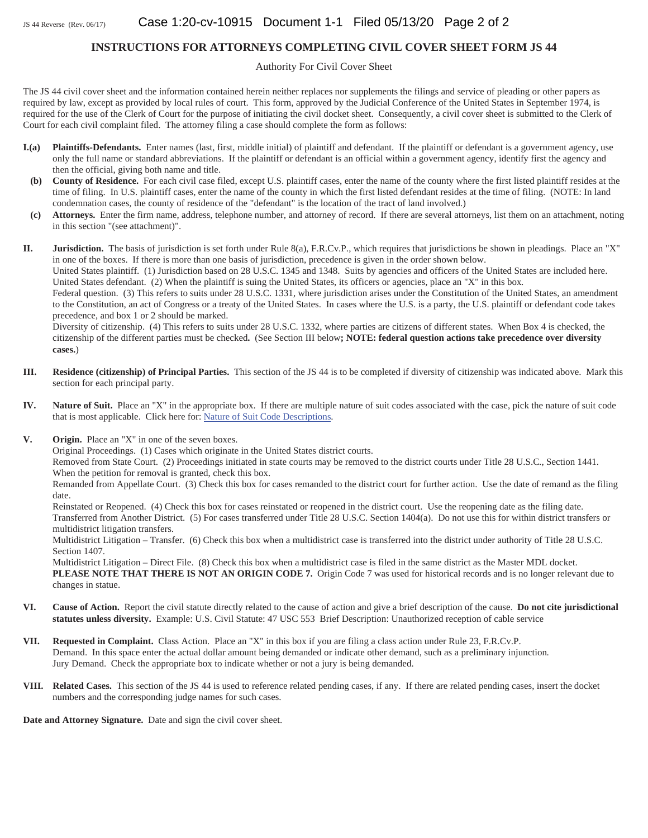#### **INSTRUCTIONS FOR ATTORNEYS COMPLETING CIVIL COVER SHEET FORM JS 44**

Authority For Civil Cover Sheet

The JS 44 civil cover sheet and the information contained herein neither replaces nor supplements the filings and service of pleading or other papers as required by law, except as provided by local rules of court. This form, approved by the Judicial Conference of the United States in September 1974, is required for the use of the Clerk of Court for the purpose of initiating the civil docket sheet. Consequently, a civil cover sheet is submitted to the Clerk of Court for each civil complaint filed. The attorney filing a case should complete the form as follows:

- **I.(a) Plaintiffs-Defendants.** Enter names (last, first, middle initial) of plaintiff and defendant. If the plaintiff or defendant is a government agency, use only the full name or standard abbreviations. If the plaintiff or defendant is an official within a government agency, identify first the agency and then the official, giving both name and title.
- **(b) County of Residence.** For each civil case filed, except U.S. plaintiff cases, enter the name of the county where the first listed plaintiff resides at the time of filing. In U.S. plaintiff cases, enter the name of the county in which the first listed defendant resides at the time of filing. (NOTE: In land condemnation cases, the county of residence of the "defendant" is the location of the tract of land involved.)
- **(c) Attorneys.** Enter the firm name, address, telephone number, and attorney of record. If there are several attorneys, list them on an attachment, noting in this section "(see attachment)".

**II. Jurisdiction.** The basis of jurisdiction is set forth under Rule 8(a), F.R.Cv.P., which requires that jurisdictions be shown in pleadings. Place an "X" in one of the boxes. If there is more than one basis of jurisdiction, precedence is given in the order shown below.

United States plaintiff. (1) Jurisdiction based on 28 U.S.C. 1345 and 1348. Suits by agencies and officers of the United States are included here. United States defendant. (2) When the plaintiff is suing the United States, its officers or agencies, place an "X" in this box.

Federal question. (3) This refers to suits under 28 U.S.C. 1331, where jurisdiction arises under the Constitution of the United States, an amendment to the Constitution, an act of Congress or a treaty of the United States. In cases where the U.S. is a party, the U.S. plaintiff or defendant code takes precedence, and box 1 or 2 should be marked.

Diversity of citizenship. (4) This refers to suits under 28 U.S.C. 1332, where parties are citizens of different states. When Box 4 is checked, the citizenship of the different parties must be checked**.** (See Section III below**; NOTE: federal question actions take precedence over diversity cases.**)

- **III. Residence (citizenship) of Principal Parties.** This section of the JS 44 is to be completed if diversity of citizenship was indicated above. Mark this section for each principal party.
- **IV. Nature of Suit.** Place an "X" in the appropriate box. If there are multiple nature of suit codes associated with the case, pick the nature of suit code that is most applicable. Click here for: Nature of Suit Code Descriptions.
- **V. Origin.** Place an "X" in one of the seven boxes.

Original Proceedings. (1) Cases which originate in the United States district courts.

Removed from State Court. (2) Proceedings initiated in state courts may be removed to the district courts under Title 28 U.S.C., Section 1441. When the petition for removal is granted, check this box.

Remanded from Appellate Court. (3) Check this box for cases remanded to the district court for further action. Use the date of remand as the filing date.

Reinstated or Reopened. (4) Check this box for cases reinstated or reopened in the district court. Use the reopening date as the filing date. Transferred from Another District. (5) For cases transferred under Title 28 U.S.C. Section 1404(a). Do not use this for within district transfers or multidistrict litigation transfers.

Multidistrict Litigation – Transfer. (6) Check this box when a multidistrict case is transferred into the district under authority of Title 28 U.S.C. Section 1407.

Multidistrict Litigation – Direct File. (8) Check this box when a multidistrict case is filed in the same district as the Master MDL docket. **PLEASE NOTE THAT THERE IS NOT AN ORIGIN CODE 7.** Origin Code 7 was used for historical records and is no longer relevant due to changes in statue.

- **VI. Cause of Action.** Report the civil statute directly related to the cause of action and give a brief description of the cause. **Do not cite jurisdictional statutes unless diversity.** Example: U.S. Civil Statute: 47 USC 553 Brief Description: Unauthorized reception of cable service
- **VII. Requested in Complaint.** Class Action. Place an "X" in this box if you are filing a class action under Rule 23, F.R.Cv.P. Demand. In this space enter the actual dollar amount being demanded or indicate other demand, such as a preliminary injunction. Jury Demand. Check the appropriate box to indicate whether or not a jury is being demanded.
- **VIII. Related Cases.** This section of the JS 44 is used to reference related pending cases, if any. If there are related pending cases, insert the docket numbers and the corresponding judge names for such cases.

**Date and Attorney Signature.** Date and sign the civil cover sheet.